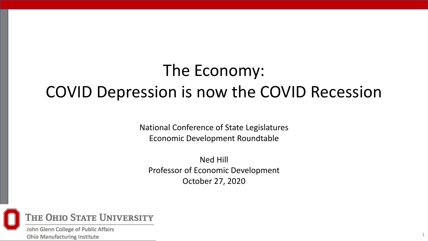# The Economy: COVID Depression is now the COVID Recession

National Conference of State Legislatures Economic Development Roundtable

Ned Hill Professor of Economic Development October 27, 2020



John Glenn College of Public Affairs **Ohio Manufacturing Institute**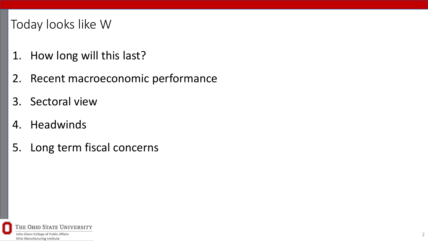## Today looks like W

- 1. How long will this last?
- 2. Recent macroeconomic performance
- 3. Sectoral view
- 4. Headwinds
- 5. Long term fiscal concerns

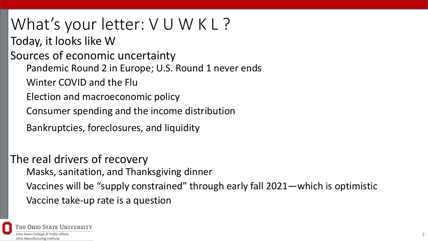What's your letter: VUWKL? Today, it looks like W Sources of economic uncertainty Pandemic Round 2 in Europe; U.S. Round 1 never ends Winter COVID and the Flu Election and macroeconomic policy Consumer spending and the income distribution Bankruptcies, foreclosures, and liquidity

The real drivers of recovery Masks, sanitation, and Thanksgiving dinner Vaccines will be "supply constrained" through early fall 2021—which is optimistic Vaccine take-up rate is a question

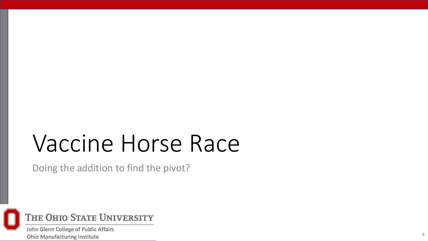# Vaccine Horse Race

Doing the addition to find the pivot?



John Glenn College of Public Affairs **Ohio Manufacturing Institute**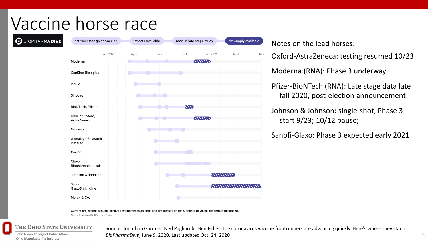# Vaccine horse race



Notes on the lead horses:

Oxford-AstraZeneca: testing resumed 10/23

Moderna (RNA): Phase 3 underway

Pfizer-BioNTech (RNA): Late stage data late fall 2020, post-election announcement

Johnson & Johnson: single-shot, Phase 3 start 9/23; 10/12 pause;

Sanofi-Glaxo: Phase 3 expected early 2021

Current projections assume clinical development succeeds and progresses on time, neither of which are certain to happen.

Nami Sumida/BioPharma Dive

## THE OHIO STATE UNIVERSITY

John Glenn College of Public Affairs **Ohio Manufacturing Institute** 

Source: Jonathan Gardner, Ned Pagliarulo, Ben Fidler, The coronavirus vaccine frontrunners are advancing quickly. Here's where they stand. *BioPharmaDive*, June 9, 2020, Last updated Oct. 24, 2020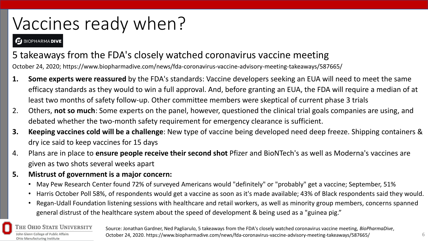# Vaccines ready when?

#### **BIOPHARMADIVE**

## 5 takeaways from the FDA's closely watched coronavirus vaccine meeting

October 24, 2020; https://www.biopharmadive.com/news/fda-coronavirus-vaccine-advisory-meeting-takeaways/587665/

- **1. Some experts were reassured** by the FDA's standards: Vaccine developers seeking an EUA will need to meet the same efficacy standards as they would to win a full approval. And, before granting an EUA, the FDA will require a median of at least two months of safety follow-up. Other committee members were skeptical of current phase 3 trials
- 2. Others, **not so much**: Some experts on the panel, however, questioned the clinical trial goals companies are using, and debated whether the two-month safety requirement for emergency clearance is sufficient.
- **3. Keeping vaccines cold will be a challenge**: New type of vaccine being developed need deep freeze. Shipping containers & dry ice said to keep vaccines for 15 days
- 4. Plans are in place to **ensure people receive their second shot** Pfizer and BioNTech's as well as Moderna's vaccines are given as two shots several weeks apart
- **5. Mistrust of government is a major concern:** 
	- May Pew Research Center found 72% of surveyed Americans would "definitely" or "probably" get a vaccine; September, 51%
	- Harris October Poll 58%, of respondents would get a vaccine as soon as it's made available; 43% of Black respondents said they would.
	- Regan-Udall Foundation listening sessions with healthcare and retail workers, as well as minority group members, concerns spanned general distrust of the healthcare system about the speed of development & being used as a "guinea pig."

### **THE OHIO STATE UNIVERSITY**

John Glenn College of Public Affairs **Ohio Manufacturing Institute** 

Source: Jonathan Gardner, Ned Pagliarulo, 5 takeaways from the FDA's closely watched coronavirus vaccine meeting, *BioPharmaDive*, October 24, 2020. https://www.biopharmadive.com/news/fda-coronavirus-vaccine-advisory-meeting-takeaways/587665/ 6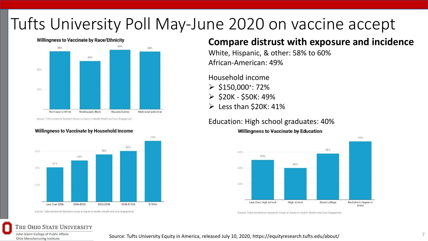## Tufts University Poll May-June 2020 on vaccine accept



#### **Willingness to Vaccinate by Race/Ethnicity**

#### Source: Tufts University Research Group on Equity in Health, Wealth and Civic Engagement

#### Willingness to Vaccinate by Household Income



Source: Tufts University's Research Group on Equity in Health, Wealth and Civic Engagement

## **Compare distrust with exposure and incidence**

White, Hispanic, & other: 58% to 60% African-American: 49%

Household income

- $\geqslant$  \$150,000<sup>+</sup>: 72%
- $>$  \$20K \$50K: 49%
- $\triangleright$  Less than \$20K: 41%

#### Education: High school graduates: 40%



Source: Tufts University's Research Group on Equity in Health, Wealth and Civic Engagemen

#### THE OHIO STATE UNIVERSITY

John Glenn College of Public Affairs **Ohio Manufacturing Institute** 

#### Source: Tufts University Equity in America, released July 10, 2020, https://equityresearch.tufts.edu/about/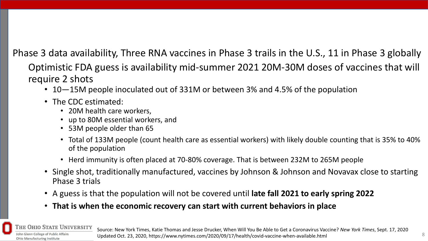Phase 3 data availability, Three RNA vaccines in Phase 3 trails in the U.S., 11 in Phase 3 globally

Optimistic FDA guess is availability mid-summer 2021 20M-30M doses of vaccines that will require 2 shots

- 10—15M people inoculated out of 331M or between 3% and 4.5% of the population
- The CDC estimated:
	- 20M health care workers,
	- up to 80M essential workers, and
	- 53M people older than 65
	- Total of 133M people (count health care as essential workers) with likely double counting that is 35% to 40% of the population
	- Herd immunity is often placed at 70-80% coverage. That is between 232M to 265M people
- Single shot, traditionally manufactured, vaccines by Johnson & Johnson and Novavax close to starting Phase 3 trials
- A guess is that the population will not be covered until **late fall 2021 to early spring 2022**
- **That is when the economic recovery can start with current behaviors in place**

## **OHIO STATE UNIVERSITY**

Iohn Glenn College of Public Affairs **Ohio Manufacturing Institute** 

Source: New York Times, Katie Thomas and Jesse Drucker, When Will You Be Able to Get a Coronavirus Vaccine? *New York Times*, Sept. 17, 2020 Updated Oct. 23, 2020, https://www.nytimes.com/2020/09/17/health/covid-vaccine-when-available.html 8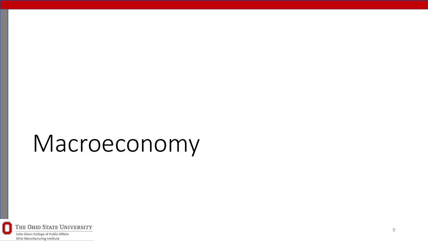# Macroeconomy

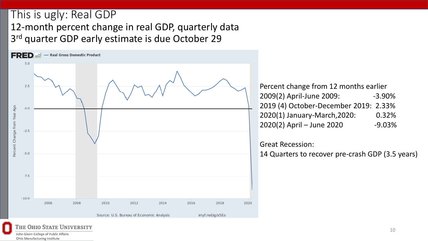## This is ugly: Real GDP 12-month percent change in real GDP, quarterly data 3<sup>rd</sup> quarter GDP early estimate is due October 29



| Percent change from 12 months earlier |          |
|---------------------------------------|----------|
| 2009(2) April-June 2009:              | $-3.90%$ |
| 2019 (4) October-December 2019: 2.33% |          |
| 2020(1) January-March, 2020:          | 0.32%    |
| 2020(2) April - June 2020             | $-9.03%$ |

### Great Recession:

14 Quarters to recover pre-crash GDP (3.5 years)

#### THE OHIO STATE UNIVERSITY John Glenn College of Public Affairs

**Ohio Manufacturing Institute**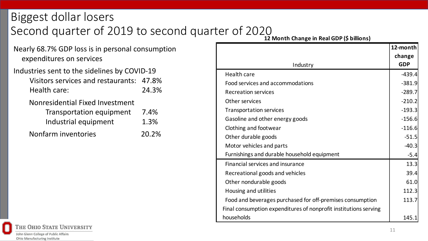## Biggest dollar losers Second quarter of 2019 to second quarter of 2020

Nearly 68.7% GDP loss is in personal consumption expenditures on services

### Industries sent to the sidelines by COVID-19 Visitors services and restaurants: 47.8%

Health care: 24.3%

Nonresidential Fixed Investment

| <b>Transportation equipment</b> | 7.4%  |
|---------------------------------|-------|
| Industrial equipment            | 1.3%  |
| Nonfarm inventories             | 20.2% |

**<sup>12</sup> Month Change in Real GDP (\$ billions)**

|                                                                  | 12-month<br>change |
|------------------------------------------------------------------|--------------------|
| Industry                                                         | <b>GDP</b>         |
| Health care                                                      | $-439.4$           |
| Food services and accommodations                                 | $-381.9$           |
| <b>Recreation services</b>                                       | $-289.7$           |
| Other services                                                   | $-210.2$           |
| <b>Transportation services</b>                                   | $-193.3$           |
| Gasoline and other energy goods                                  | $-156.6$           |
| Clothing and footwear                                            | $-116.6$           |
| Other durable goods                                              | $-51.5$            |
| Motor vehicles and parts                                         | $-40.3$            |
| Furnishings and durable household equipment                      | $-5.4$             |
| Financial services and insurance                                 | 13.3               |
| Recreational goods and vehicles                                  | 39.4               |
| Other nondurable goods                                           | 61.0               |
| Housing and utilities                                            | 112.3              |
| Food and beverages purchased for off-premises consumption        | 113.7              |
| Final consumption expenditures of nonprofit institutions serving |                    |
| households                                                       | 145.1              |

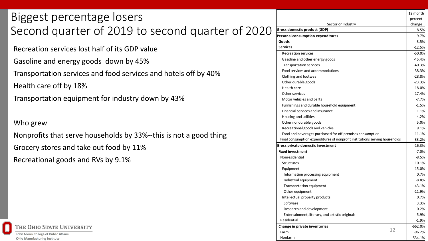## Biggest percentage losers Second quarter of 2019 to second quarter of 2020

Recreation services lost half of its GDP value

Gasoline and energy goods down by 45%

Transportation services and food services and hotels off by 40%

Health care off by 18%

Transportation equipment for industry down by 43%

### Who grew

Nonprofits that serve households by 33%--this is not a good thing Grocery stores and take out food by 11% Recreational goods and RVs by 9.1%



|                                                                             | 12 month  |
|-----------------------------------------------------------------------------|-----------|
|                                                                             | percent   |
| Sector or Industry                                                          | change    |
| <b>Gross domestic product (GDP)</b>                                         | $-8.5%$   |
| Personal consumption expenditures                                           | $-9.7%$   |
| Goods                                                                       | $-3.5%$   |
| <b>Services</b>                                                             | $-12.5%$  |
| <b>Recreation services</b>                                                  | $-50.0%$  |
| Gasoline and other energy goods                                             | $-45.4%$  |
| Transportation services                                                     | $-40.3%$  |
| Food services and accommodations                                            | $-38.3%$  |
| Clothing and footwear                                                       | $-28.8%$  |
| Other durable goods                                                         | $-23.3%$  |
| Health care                                                                 | $-18.0%$  |
| Other services                                                              | $-17.4%$  |
| Motor vehicles and parts                                                    | $-7.7%$   |
| Furnishings and durable household equipment                                 | $-1.5%$   |
| Financial services and insurance                                            | 1.1%      |
| Housing and utilities                                                       | 4.2%      |
| Other nondurable goods                                                      | 5.0%      |
| Recreational goods and vehicles                                             | 9.1%      |
| Food and beverages purchased for off-premises consumption                   | 11.1%     |
| Final consumption expenditures of nonprofit institutions serving households | 33.2%     |
| Gross private domestic investment                                           | $-16.3%$  |
| <b>Fixed investment</b>                                                     | $-7.0%$   |
| Nonresidential                                                              | $-8.5%$   |
| <b>Structures</b>                                                           | $-10.1%$  |
| Equipment                                                                   | $-15.0%$  |
| Information processing equipment                                            | 0.7%      |
| Industrial equipment                                                        | $-8.8%$   |
| Transportation equipment                                                    | $-43.1%$  |
| Other equipment                                                             | $-11.9%$  |
| Intellectual property products                                              | 0.7%      |
| Software                                                                    | 3.3%      |
| Research and development                                                    | $-0.2%$   |
| Entertainment, literary, and artistic originals                             | $-5.9%$   |
| Residential                                                                 | $-1.9%$   |
| Change in private inventories                                               | $-662.0%$ |
| 12<br>Farm                                                                  | $-96.2%$  |
| Nonfarm                                                                     | $-534.1%$ |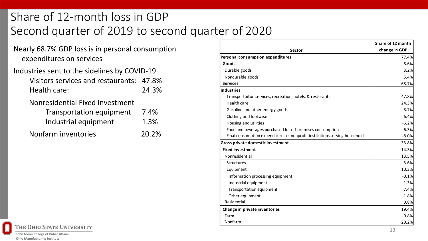## Share of 12-month loss in GDP Second quarter of 2019 to second quarter of 2020

Nearly 68.7% GDP loss is in personal consumption expenditures on services

## Industries sent to the sidelines by COVID-19 Visitors services and restaurants: 47.8% Health care: 24.3%

Nonresidential Fixed Investment

| <b>Transportation equipment</b> | 7.4%  |
|---------------------------------|-------|
| Industrial equipment            | 1.3%  |
| Nonfarm inventories             | 20.29 |



|                                                                             | Share of 12 month |
|-----------------------------------------------------------------------------|-------------------|
| <b>Sector</b>                                                               | change in GDP     |
| Personal consumption expenditures                                           | 77.4%             |
| Goods                                                                       | 8.6%              |
| Durable goods                                                               | 3.2%              |
| Nondurable goods                                                            | 5.4%              |
| <b>Services</b>                                                             | 68.7%             |
| <b>Industries</b>                                                           |                   |
| Transportaiton services, recreation, hotels, & resturants                   | 47.8%             |
| Health care                                                                 | 24.3%             |
| Gasoline and other energy goods                                             | 8.7%              |
| Clothing and footwear                                                       | 6.4%              |
| Housing and utilities                                                       | $-6.2%$           |
| Food and beverages purchased for off-premises consumption                   | $-6.3%$           |
| Final consumption expenditures of nonprofit institutions serving households | $-8.0%$           |
| Gross private domestic investment                                           | 33.8%             |
| <b>Fixed investment</b>                                                     | 14.3%             |
| Nonresidential                                                              | 13.5%             |
| Structures                                                                  | 3.6%              |
| Equipment                                                                   | 10.3%             |
| Information processing equipment                                            | $-0.1%$           |
| Industrial equipment                                                        | 1.3%              |
| Transportation equipment                                                    | 7.4%              |
| Other equipment                                                             | 1.8%              |
| Residential                                                                 | 0.8%              |
| Change in private inventories                                               | 19.4%             |
| Farm                                                                        | $-0.8%$           |
| Nonfarm                                                                     | 20.2%             |
|                                                                             | 12                |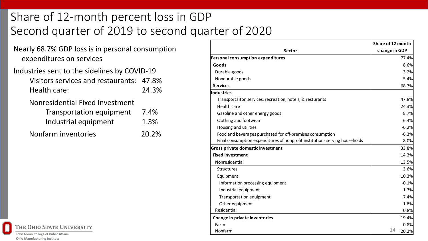## Share of 12-month percent loss in GDP Second quarter of 2019 to second quarter of 2020

- Nearly 68.7% GDP loss is in personal consumption expenditures on services
- Industries sent to the sidelines by COVID-19 Visitors services and restaurants: 47.8% Health care: 24.3% Nonresidential Fixed Investment

| <b>Transportation equipment</b> | 7.4%  |
|---------------------------------|-------|
| Industrial equipment            | 1.3%  |
| Nonfarm inventories             | 20.2% |

|  | <b>THE OHIO STATE UNIVERSITY</b>                                            |
|--|-----------------------------------------------------------------------------|
|  | John Glenn College of Public Affairs<br><b>Ohio Manufacturing Institute</b> |

|                                                                             | Share of 12 month |
|-----------------------------------------------------------------------------|-------------------|
| <b>Sector</b>                                                               | change in GDP     |
| Personal consumption expenditures                                           | 77.4%             |
| Goods                                                                       | 8.6%              |
| Durable goods                                                               | 3.2%              |
| Nondurable goods                                                            | 5.4%              |
| <b>Services</b>                                                             | 68.7%             |
| Industries                                                                  |                   |
| Transportaiton services, recreation, hotels, & resturants                   | 47.8%             |
| Health care                                                                 | 24.3%             |
| Gasoline and other energy goods                                             | 8.7%              |
| Clothing and footwear                                                       | 6.4%              |
| Housing and utilities                                                       | $-6.2%$           |
| Food and beverages purchased for off-premises consumption                   | $-6.3%$           |
| Final consumption expenditures of nonprofit institutions serving households | $-8.0%$           |
| Gross private domestic investment                                           | 33.8%             |
| <b>Fixed investment</b>                                                     | 14.3%             |
| Nonresidential                                                              | 13.5%             |
| Structures                                                                  | 3.6%              |
| Equipment                                                                   | 10.3%             |
| Information processing equipment                                            | $-0.1%$           |
| Industrial equipment                                                        | 1.3%              |
| Transportation equipment                                                    | 7.4%              |
| Other equipment                                                             | 1.8%              |
| Residential                                                                 | 0.8%              |
| Change in private inventories                                               | 19.4%             |
| Farm                                                                        | $-0.8%$           |
| Nonfarm                                                                     | 14<br>20.2%       |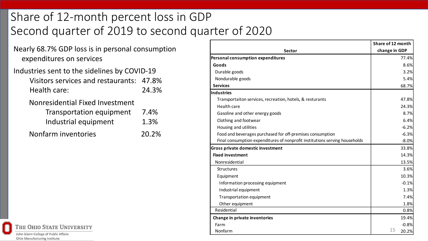## Share of 12-month percent loss in GDP Second quarter of 2019 to second quarter of 2020

- Nearly 68.7% GDP loss is in personal consumption expenditures on services
- Industries sent to the sidelines by COVID-19 Visitors services and restaurants: 47.8% Health care: 24.3% Nonresidential Fixed Investment

| <b>Transportation equipment</b> | 7.4%  |
|---------------------------------|-------|
| Industrial equipment            | 1.3%  |
| Nonfarm inventories             | 20.2% |

THE OHIO STATE UNIVERSITY John Glenn College of Public Affairs **Ohio Manufacturing Institute** 

|                                                                             | Share of 12 month |
|-----------------------------------------------------------------------------|-------------------|
| <b>Sector</b>                                                               | change in GDP     |
| Personal consumption expenditures                                           | 77.4%             |
| Goods                                                                       | 8.6%              |
| Durable goods                                                               | 3.2%              |
| Nondurable goods                                                            | 5.4%              |
| <b>Services</b>                                                             | 68.7%             |
| Industries                                                                  |                   |
| Transportaiton services, recreation, hotels, & resturants                   | 47.8%             |
| Health care                                                                 | 24.3%             |
| Gasoline and other energy goods                                             | 8.7%              |
| Clothing and footwear                                                       | 6.4%              |
| Housing and utilities                                                       | $-6.2%$           |
| Food and beverages purchased for off-premises consumption                   | $-6.3%$           |
| Final consumption expenditures of nonprofit institutions serving households | $-8.0%$           |
| <b>Gross private domestic investment</b>                                    | 33.8%             |
| <b>Fixed investment</b>                                                     | 14.3%             |
| Nonresidential                                                              | 13.5%             |
| Structures                                                                  | 3.6%              |
| Equipment                                                                   | 10.3%             |
| Information processing equipment                                            | $-0.1%$           |
| Industrial equipment                                                        | 1.3%              |
| Transportation equipment                                                    | 7.4%              |
| Other equipment                                                             | 1.8%              |
| Residential                                                                 | 0.8%              |
| Change in private inventories                                               | 19.4%             |
| Farm                                                                        | $-0.8%$           |
| Nonfarm                                                                     | 15<br>20.2%       |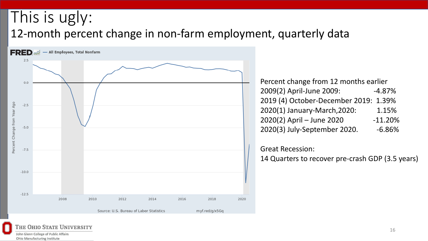## This is ugly: 12-month percent change in non-farm employment, quarterly data



| Percent change from 12 months earlier |           |
|---------------------------------------|-----------|
| 2009(2) April-June 2009:              | $-4.87%$  |
| 2019 (4) October-December 2019: 1.39% |           |
| 2020(1) January-March, 2020:          | 1.15%     |
| 2020(2) April - June 2020             | $-11.20%$ |
| 2020(3) July-September 2020.          | $-6.86%$  |

Great Recession:

14 Quarters to recover pre-crash GDP (3.5 years)

#### THE OHIO STATE UNIVERSITY John Glenn College of Public Affairs

**Ohio Manufacturing Institute**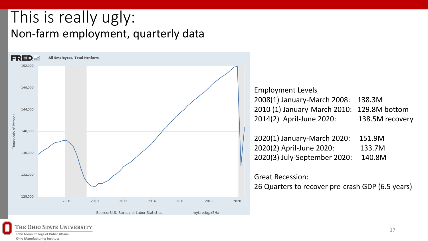## This is really ugly: Non-farm employment, quarterly data



Employment Levels 2008(1) January-March 2008: 138.3M 2010 (1) January-March 2010: 129.8M bottom 2014(2) April-June 2020: 138.5M recovery

| 2020(1) January-March 2020:  | 151.9M |
|------------------------------|--------|
| 2020(2) April-June 2020:     | 133.7M |
| 2020(3) July-September 2020: | 140.8M |

### Great Recession:

26 Quarters to recover pre-crash GDP (6.5 years)



THE OHIO STATE UNIVERSITY